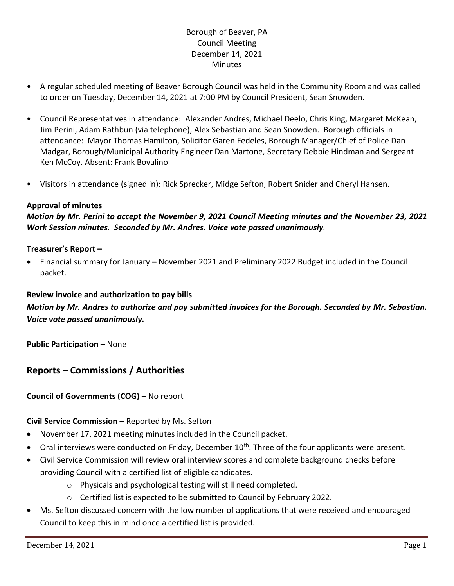# Borough of Beaver, PA Council Meeting December 14, 2021 **Minutes**

- A regular scheduled meeting of Beaver Borough Council was held in the Community Room and was called to order on Tuesday, December 14, 2021 at 7:00 PM by Council President, Sean Snowden.
- Council Representatives in attendance: Alexander Andres, Michael Deelo, Chris King, Margaret McKean, Jim Perini, Adam Rathbun (via telephone), Alex Sebastian and Sean Snowden. Borough officials in attendance: Mayor Thomas Hamilton, Solicitor Garen Fedeles, Borough Manager/Chief of Police Dan Madgar, Borough/Municipal Authority Engineer Dan Martone, Secretary Debbie Hindman and Sergeant Ken McCoy. Absent: Frank Bovalino
- Visitors in attendance (signed in): Rick Sprecker, Midge Sefton, Robert Snider and Cheryl Hansen.

## **Approval of minutes**

*Motion by Mr. Perini to accept the November 9, 2021 Council Meeting minutes and the November 23, 2021 Work Session minutes. Seconded by Mr. Andres. Voice vote passed unanimously.*

#### **Treasurer's Report –**

• Financial summary for January – November 2021 and Preliminary 2022 Budget included in the Council packet.

#### **Review invoice and authorization to pay bills**

*Motion by Mr. Andres to authorize and pay submitted invoices for the Borough. Seconded by Mr. Sebastian. Voice vote passed unanimously.*

**Public Participation –** None

# **Reports – Commissions / Authorities**

## **Council of Governments (COG) –** No report

## **Civil Service Commission –** Reported by Ms. Sefton

- November 17, 2021 meeting minutes included in the Council packet.
- $\bullet$  Oral interviews were conducted on Friday, December 10<sup>th</sup>. Three of the four applicants were present.
- Civil Service Commission will review oral interview scores and complete background checks before providing Council with a certified list of eligible candidates.
	- o Physicals and psychological testing will still need completed.
	- o Certified list is expected to be submitted to Council by February 2022.
- Ms. Sefton discussed concern with the low number of applications that were received and encouraged Council to keep this in mind once a certified list is provided.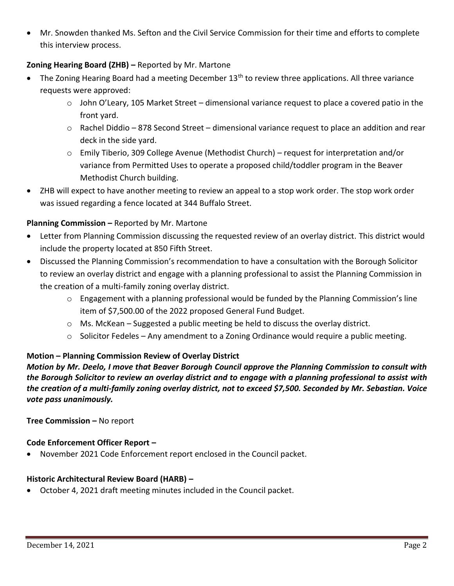• Mr. Snowden thanked Ms. Sefton and the Civil Service Commission for their time and efforts to complete this interview process.

## **Zoning Hearing Board (ZHB) –** Reported by Mr. Martone

- The Zoning Hearing Board had a meeting December  $13<sup>th</sup>$  to review three applications. All three variance requests were approved:
	- $\circ$  John O'Leary, 105 Market Street dimensional variance request to place a covered patio in the front yard.
	- $\circ$  Rachel Diddio 878 Second Street dimensional variance request to place an addition and rear deck in the side yard.
	- o Emily Tiberio, 309 College Avenue (Methodist Church) request for interpretation and/or variance from Permitted Uses to operate a proposed child/toddler program in the Beaver Methodist Church building.
- ZHB will expect to have another meeting to review an appeal to a stop work order. The stop work order was issued regarding a fence located at 344 Buffalo Street.

## **Planning Commission –** Reported by Mr. Martone

- Letter from Planning Commission discussing the requested review of an overlay district. This district would include the property located at 850 Fifth Street.
- Discussed the Planning Commission's recommendation to have a consultation with the Borough Solicitor to review an overlay district and engage with a planning professional to assist the Planning Commission in the creation of a multi-family zoning overlay district.
	- $\circ$  Engagement with a planning professional would be funded by the Planning Commission's line item of \$7,500.00 of the 2022 proposed General Fund Budget.
	- $\circ$  Ms. McKean Suggested a public meeting be held to discuss the overlay district.
	- $\circ$  Solicitor Fedeles Any amendment to a Zoning Ordinance would require a public meeting.

## **Motion – Planning Commission Review of Overlay District**

*Motion by Mr. Deelo, I move that Beaver Borough Council approve the Planning Commission to consult with the Borough Solicitor to review an overlay district and to engage with a planning professional to assist with the creation of a multi-family zoning overlay district, not to exceed \$7,500. Seconded by Mr. Sebastian. Voice vote pass unanimously.*

**Tree Commission –** No report

## **Code Enforcement Officer Report –**

• November 2021 Code Enforcement report enclosed in the Council packet.

## **Historic Architectural Review Board (HARB) –**

• October 4, 2021 draft meeting minutes included in the Council packet.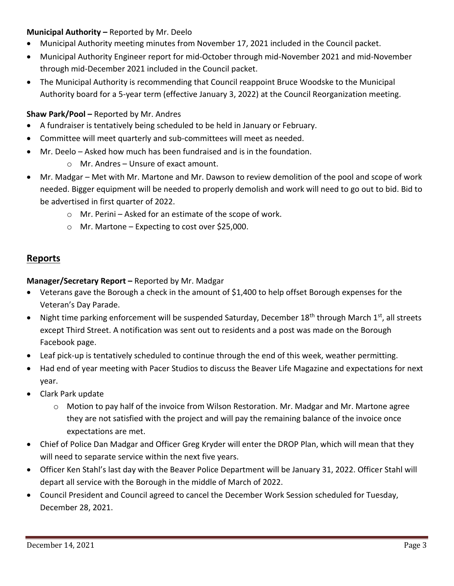## **Municipal Authority –** Reported by Mr. Deelo

- Municipal Authority meeting minutes from November 17, 2021 included in the Council packet.
- Municipal Authority Engineer report for mid-October through mid-November 2021 and mid-November through mid-December 2021 included in the Council packet.
- The Municipal Authority is recommending that Council reappoint Bruce Woodske to the Municipal Authority board for a 5-year term (effective January 3, 2022) at the Council Reorganization meeting.

## **Shaw Park/Pool –** Reported by Mr. Andres

- A fundraiser is tentatively being scheduled to be held in January or February.
- Committee will meet quarterly and sub-committees will meet as needed.
- Mr. Deelo Asked how much has been fundraised and is in the foundation.
	- o Mr. Andres Unsure of exact amount.
- Mr. Madgar Met with Mr. Martone and Mr. Dawson to review demolition of the pool and scope of work needed. Bigger equipment will be needed to properly demolish and work will need to go out to bid. Bid to be advertised in first quarter of 2022.
	- o Mr. Perini Asked for an estimate of the scope of work.
	- o Mr. Martone Expecting to cost over \$25,000.

# **Reports**

**Manager/Secretary Report –** Reported by Mr. Madgar

- Veterans gave the Borough a check in the amount of \$1,400 to help offset Borough expenses for the Veteran's Day Parade.
- Night time parking enforcement will be suspended Saturday, December 18<sup>th</sup> through March 1<sup>st</sup>, all streets except Third Street. A notification was sent out to residents and a post was made on the Borough Facebook page.
- Leaf pick-up is tentatively scheduled to continue through the end of this week, weather permitting.
- Had end of year meeting with Pacer Studios to discuss the Beaver Life Magazine and expectations for next year.
- Clark Park update
	- $\circ$  Motion to pay half of the invoice from Wilson Restoration. Mr. Madgar and Mr. Martone agree they are not satisfied with the project and will pay the remaining balance of the invoice once expectations are met.
- Chief of Police Dan Madgar and Officer Greg Kryder will enter the DROP Plan, which will mean that they will need to separate service within the next five years.
- Officer Ken Stahl's last day with the Beaver Police Department will be January 31, 2022. Officer Stahl will depart all service with the Borough in the middle of March of 2022.
- Council President and Council agreed to cancel the December Work Session scheduled for Tuesday, December 28, 2021.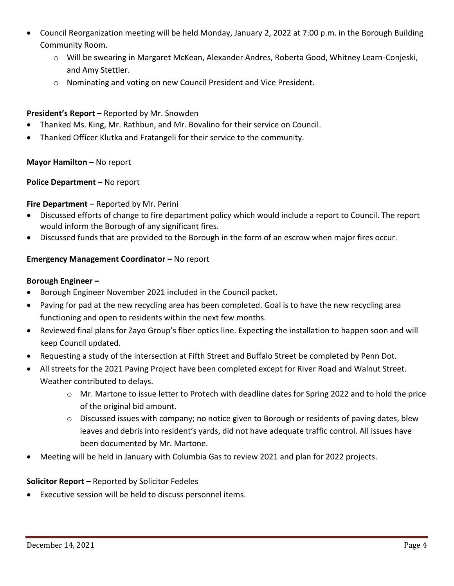- Council Reorganization meeting will be held Monday, January 2, 2022 at 7:00 p.m. in the Borough Building Community Room.
	- o Will be swearing in Margaret McKean, Alexander Andres, Roberta Good, Whitney Learn-Conjeski, and Amy Stettler.
	- o Nominating and voting on new Council President and Vice President.

## **President's Report –** Reported by Mr. Snowden

- Thanked Ms. King, Mr. Rathbun, and Mr. Bovalino for their service on Council.
- Thanked Officer Klutka and Fratangeli for their service to the community.

## **Mayor Hamilton - No report**

## **Police Department –** No report

## **Fire Department** – Reported by Mr. Perini

- Discussed efforts of change to fire department policy which would include a report to Council. The report would inform the Borough of any significant fires.
- Discussed funds that are provided to the Borough in the form of an escrow when major fires occur.

## **Emergency Management Coordinator - No report**

#### **Borough Engineer –**

- Borough Engineer November 2021 included in the Council packet.
- Paving for pad at the new recycling area has been completed. Goal is to have the new recycling area functioning and open to residents within the next few months.
- Reviewed final plans for Zayo Group's fiber optics line. Expecting the installation to happen soon and will keep Council updated.
- Requesting a study of the intersection at Fifth Street and Buffalo Street be completed by Penn Dot.
- All streets for the 2021 Paving Project have been completed except for River Road and Walnut Street. Weather contributed to delays.
	- o Mr. Martone to issue letter to Protech with deadline dates for Spring 2022 and to hold the price of the original bid amount.
	- o Discussed issues with company; no notice given to Borough or residents of paving dates, blew leaves and debris into resident's yards, did not have adequate traffic control. All issues have been documented by Mr. Martone.
- Meeting will be held in January with Columbia Gas to review 2021 and plan for 2022 projects.

## **Solicitor Report –** Reported by Solicitor Fedeles

• Executive session will be held to discuss personnel items.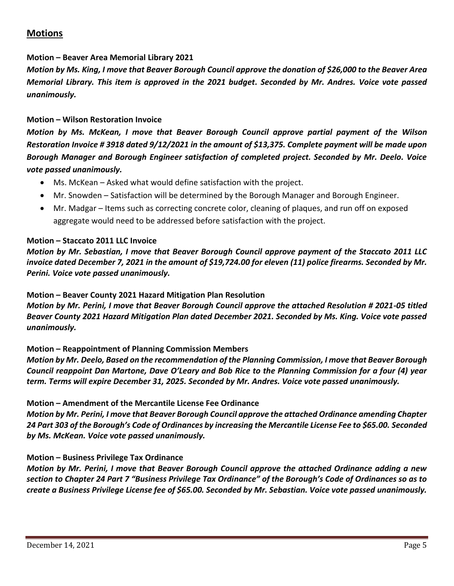# **Motions**

#### **Motion – Beaver Area Memorial Library 2021**

*Motion by Ms. King, I move that Beaver Borough Council approve the donation of \$26,000 to the Beaver Area Memorial Library. This item is approved in the 2021 budget. Seconded by Mr. Andres. Voice vote passed unanimously.*

#### **Motion – Wilson Restoration Invoice**

*Motion by Ms. McKean, I move that Beaver Borough Council approve partial payment of the Wilson Restoration Invoice # 3918 dated 9/12/2021 in the amount of \$13,375. Complete payment will be made upon Borough Manager and Borough Engineer satisfaction of completed project. Seconded by Mr. Deelo. Voice vote passed unanimously.*

- Ms. McKean Asked what would define satisfaction with the project.
- Mr. Snowden Satisfaction will be determined by the Borough Manager and Borough Engineer.
- Mr. Madgar Items such as correcting concrete color, cleaning of plaques, and run off on exposed aggregate would need to be addressed before satisfaction with the project.

#### **Motion – Staccato 2011 LLC Invoice**

*Motion by Mr. Sebastian, I move that Beaver Borough Council approve payment of the Staccato 2011 LLC invoice dated December 7, 2021 in the amount of \$19,724.00 for eleven (11) police firearms. Seconded by Mr. Perini. Voice vote passed unanimously.*

#### **Motion – Beaver County 2021 Hazard Mitigation Plan Resolution**

*Motion by Mr. Perini, I move that Beaver Borough Council approve the attached Resolution # 2021-05 titled Beaver County 2021 Hazard Mitigation Plan dated December 2021. Seconded by Ms. King. Voice vote passed unanimously.*

# **Motion – Reappointment of Planning Commission Members**

*Motion by Mr. Deelo, Based on the recommendation of the Planning Commission, I move that Beaver Borough Council reappoint Dan Martone, Dave O'Leary and Bob Rice to the Planning Commission for a four (4) year term. Terms will expire December 31, 2025. Seconded by Mr. Andres. Voice vote passed unanimously.*

# **Motion – Amendment of the Mercantile License Fee Ordinance**

*Motion by Mr. Perini, I move that Beaver Borough Council approve the attached Ordinance amending Chapter 24 Part 303 of the Borough's Code of Ordinances by increasing the Mercantile License Fee to \$65.00. Seconded by Ms. McKean. Voice vote passed unanimously.*

# **Motion – Business Privilege Tax Ordinance**

*Motion by Mr. Perini, I move that Beaver Borough Council approve the attached Ordinance adding a new section to Chapter 24 Part 7 "Business Privilege Tax Ordinance" of the Borough's Code of Ordinances so as to create a Business Privilege License fee of \$65.00. Seconded by Mr. Sebastian. Voice vote passed unanimously.*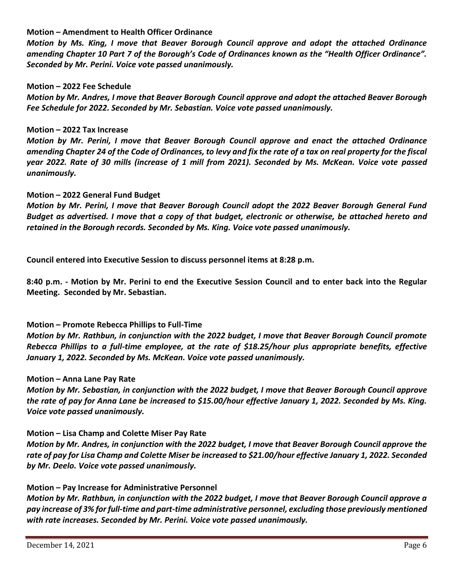#### **Motion – Amendment to Health Officer Ordinance**

*Motion by Ms. King, I move that Beaver Borough Council approve and adopt the attached Ordinance amending Chapter 10 Part 7 of the Borough's Code of Ordinances known as the "Health Officer Ordinance". Seconded by Mr. Perini. Voice vote passed unanimously.*

#### **Motion – 2022 Fee Schedule**

*Motion by Mr. Andres, I move that Beaver Borough Council approve and adopt the attached Beaver Borough Fee Schedule for 2022. Seconded by Mr. Sebastian. Voice vote passed unanimously.*

#### **Motion – 2022 Tax Increase**

*Motion by Mr. Perini, I move that Beaver Borough Council approve and enact the attached Ordinance amending Chapter 24 of the Code of Ordinances, to levy and fix the rate of a tax on real property for the fiscal year 2022. Rate of 30 mills (increase of 1 mill from 2021). Seconded by Ms. McKean. Voice vote passed unanimously.*

#### **Motion – 2022 General Fund Budget**

*Motion by Mr. Perini, I move that Beaver Borough Council adopt the 2022 Beaver Borough General Fund Budget as advertised. I move that a copy of that budget, electronic or otherwise, be attached hereto and retained in the Borough records. Seconded by Ms. King. Voice vote passed unanimously.*

**Council entered into Executive Session to discuss personnel items at 8:28 p.m.**

**8:40 p.m. - Motion by Mr. Perini to end the Executive Session Council and to enter back into the Regular Meeting. Seconded by Mr. Sebastian.**

## **Motion – Promote Rebecca Phillips to Full-Time**

*Motion by Mr. Rathbun, in conjunction with the 2022 budget, I move that Beaver Borough Council promote Rebecca Phillips to a full-time employee, at the rate of \$18.25/hour plus appropriate benefits, effective January 1, 2022. Seconded by Ms. McKean. Voice vote passed unanimously.*

#### **Motion – Anna Lane Pay Rate**

*Motion by Mr. Sebastian, in conjunction with the 2022 budget, I move that Beaver Borough Council approve the rate of pay for Anna Lane be increased to \$15.00/hour effective January 1, 2022. Seconded by Ms. King. Voice vote passed unanimously.*

#### **Motion – Lisa Champ and Colette Miser Pay Rate**

*Motion by Mr. Andres, in conjunction with the 2022 budget, I move that Beaver Borough Council approve the rate of pay for Lisa Champ and Colette Miser be increased to \$21.00/hour effective January 1, 2022. Seconded by Mr. Deelo. Voice vote passed unanimously.*

#### **Motion – Pay Increase for Administrative Personnel**

*Motion by Mr. Rathbun, in conjunction with the 2022 budget, I move that Beaver Borough Council approve a pay increase of 3% for full-time and part-time administrative personnel, excluding those previously mentioned with rate increases. Seconded by Mr. Perini. Voice vote passed unanimously.*